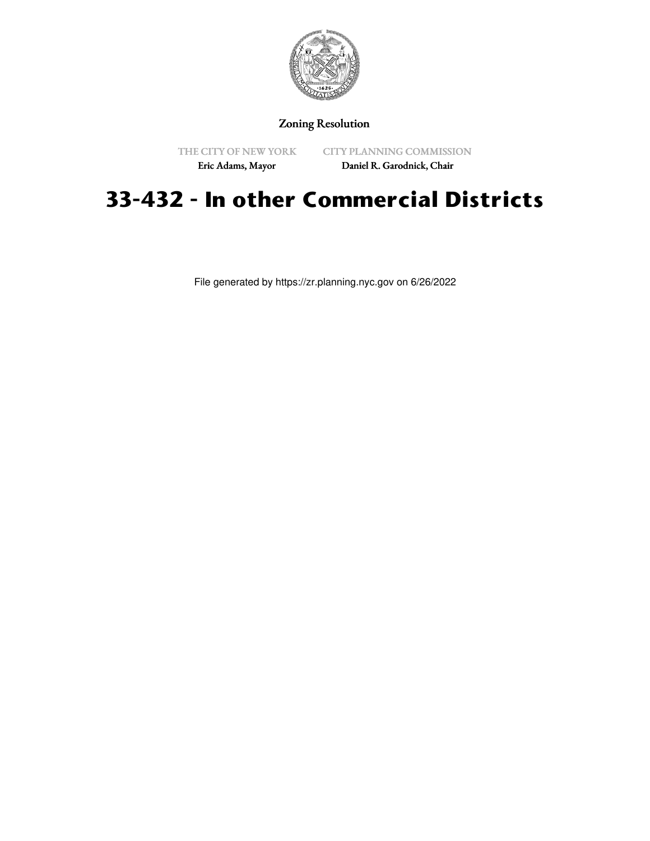

## Zoning Resolution

THE CITY OF NEW YORK

CITY PLANNING COMMISSION

Eric Adams, Mayor

Daniel R. Garodnick, Chair

# **33-432 - In other Commercial Districts**

File generated by https://zr.planning.nyc.gov on 6/26/2022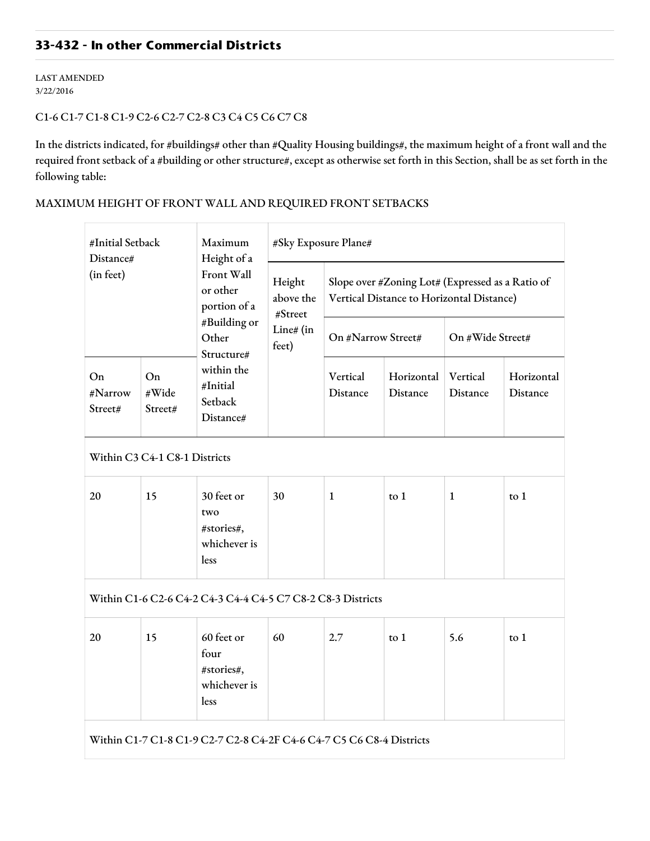# **33-432 - In other Commercial Districts**

LAST AMENDED 3/22/2016

#### C1-6 C1-7 C1-8 C1-9 C2-6 C2-7 C2-8 C3 C4 C5 C6 C7 C8

In the districts indicated, for #buildings# other than #Quality Housing buildings#, the maximum height of a front wall and the required front setback of a #building or other structure#, except as otherwise set forth in this Section, shall be as set forth in the following table:

## MAXIMUM HEIGHT OF FRONT WALL AND REQUIRED FRONT SETBACKS

| #Initial Setback<br>Distance#<br>(in feet)                           |                        | Maximum<br>Height of a<br>Front Wall<br>or other<br>portion of a<br>#Building or<br>Other<br>Structure# | #Sky Exposure Plane#                                 |                                                                                               |                        |                      |                        |  |  |  |  |
|----------------------------------------------------------------------|------------------------|---------------------------------------------------------------------------------------------------------|------------------------------------------------------|-----------------------------------------------------------------------------------------------|------------------------|----------------------|------------------------|--|--|--|--|
|                                                                      |                        |                                                                                                         | Height<br>above the<br>#Street<br>Line# (in<br>feet) | Slope over #Zoning Lot# (Expressed as a Ratio of<br>Vertical Distance to Horizontal Distance) |                        |                      |                        |  |  |  |  |
|                                                                      |                        |                                                                                                         |                                                      | On #Narrow Street#                                                                            |                        | On #Wide Street#     |                        |  |  |  |  |
| On<br>#Narrow<br>Street#                                             | On<br>#Wide<br>Street# | within the<br>#Initial<br>Setback<br>Distance#                                                          |                                                      | Vertical<br>Distance                                                                          | Horizontal<br>Distance | Vertical<br>Distance | Horizontal<br>Distance |  |  |  |  |
| Within C3 C4-1 C8-1 Districts                                        |                        |                                                                                                         |                                                      |                                                                                               |                        |                      |                        |  |  |  |  |
| 20                                                                   | 15                     | 30 feet or<br>two<br>#stories#,<br>whichever is<br>less                                                 | 30                                                   | $\mathbf{1}$                                                                                  | to $1$                 | $\mathbf{1}$         | to $1$                 |  |  |  |  |
| Within C1-6 C2-6 C4-2 C4-3 C4-4 C4-5 C7 C8-2 C8-3 Districts          |                        |                                                                                                         |                                                      |                                                                                               |                        |                      |                        |  |  |  |  |
| 20                                                                   | 15                     | 60 feet or<br>four<br>#stories#,<br>whichever is<br>less                                                | 60                                                   | 2.7                                                                                           | $\frac{1}{2}$          | 5.6                  | $\frac{1}{2}$          |  |  |  |  |
| Within C1-7 C1-8 C1-9 C2-7 C2-8 C4-2F C4-6 C4-7 C5 C6 C8-4 Districts |                        |                                                                                                         |                                                      |                                                                                               |                        |                      |                        |  |  |  |  |